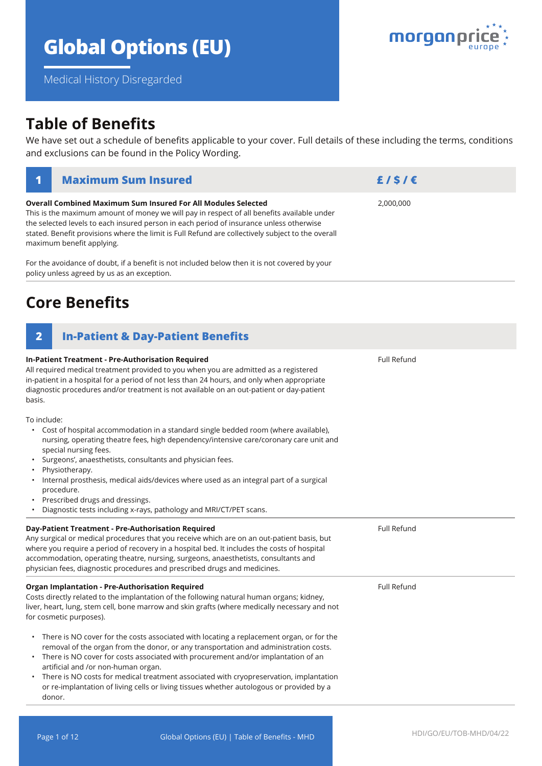# **Global Options (EU)**

**Overall Combined Maximum Sum Insured For All Modules Selected**

Medical History Disregarded

# **Table of Benefits**

We have set out a schedule of benefits applicable to your cover. Full details of these including the terms, conditions and exclusions can be found in the Policy Wording.

| This is the maximum amount of money we will pay in respect of all benefits available under<br>the selected levels to each insured person in each period of insurance unless otherwise<br>stated. Benefit provisions where the limit is Full Refund are collectively subject to the overall<br>maximum benefit applying.                                                                                                                                                                                                                                       |                    |  |
|---------------------------------------------------------------------------------------------------------------------------------------------------------------------------------------------------------------------------------------------------------------------------------------------------------------------------------------------------------------------------------------------------------------------------------------------------------------------------------------------------------------------------------------------------------------|--------------------|--|
| For the avoidance of doubt, if a benefit is not included below then it is not covered by your<br>policy unless agreed by us as an exception.                                                                                                                                                                                                                                                                                                                                                                                                                  |                    |  |
| <b>Core Benefits</b>                                                                                                                                                                                                                                                                                                                                                                                                                                                                                                                                          |                    |  |
| $\overline{2}$<br><b>In-Patient &amp; Day-Patient Benefits</b>                                                                                                                                                                                                                                                                                                                                                                                                                                                                                                |                    |  |
| <b>In-Patient Treatment - Pre-Authorisation Required</b><br>All required medical treatment provided to you when you are admitted as a registered<br>in-patient in a hospital for a period of not less than 24 hours, and only when appropriate<br>diagnostic procedures and/or treatment is not available on an out-patient or day-patient<br>basis.                                                                                                                                                                                                          | <b>Full Refund</b> |  |
| To include:<br>Cost of hospital accommodation in a standard single bedded room (where available),<br>$\bullet$ .<br>nursing, operating theatre fees, high dependency/intensive care/coronary care unit and<br>special nursing fees.<br>Surgeons', anaesthetists, consultants and physician fees.<br>$\bullet$<br>Physiotherapy.<br>Internal prosthesis, medical aids/devices where used as an integral part of a surgical<br>procedure.<br>Prescribed drugs and dressings.<br>$\bullet$<br>Diagnostic tests including x-rays, pathology and MRI/CT/PET scans. |                    |  |
| <b>Dav-Patient Treatment - Pre-Authorisation Required</b>                                                                                                                                                                                                                                                                                                                                                                                                                                                                                                     | <b>Full Refund</b> |  |

| Any surgical or medical procedures that you receive which are on an out-patient basis, but<br>where you require a period of recovery in a hospital bed. It includes the costs of hospital<br>accommodation, operating theatre, nursing, surgeons, anaesthetists, consultants and<br>physician fees, diagnostic procedures and prescribed drugs and medicines. |             |  |
|---------------------------------------------------------------------------------------------------------------------------------------------------------------------------------------------------------------------------------------------------------------------------------------------------------------------------------------------------------------|-------------|--|
| <b>Organ Implantation - Pre-Authorisation Required</b><br>Costs directly related to the implantation of the following natural human organs; kidney,<br>liver, heart, lung, stem cell, bone marrow and skin grafts (where medically necessary and not                                                                                                          | Full Refund |  |
| for cosmetic purposes).                                                                                                                                                                                                                                                                                                                                       |             |  |
| There is NO cover for the costs associated with locating a replacement organ, or for the<br>٠<br>removal of the organ from the donor, or any transportation and administration costs.<br>There is NO cover for costs associated with procurement and/or implantation of an<br>٠<br>artificial and /or non-human organ.                                        |             |  |
| There is NO costs for medical treatment associated with cryopreservation, implantation<br>٠<br>or re-implantation of living cells or living tissues whether autologous or provided by a                                                                                                                                                                       |             |  |

or re-implantation of living cells or living tissues whether autologous or provided by a donor.



**1 Maximum Sum Insured £ / \$ / €** 

2,000,000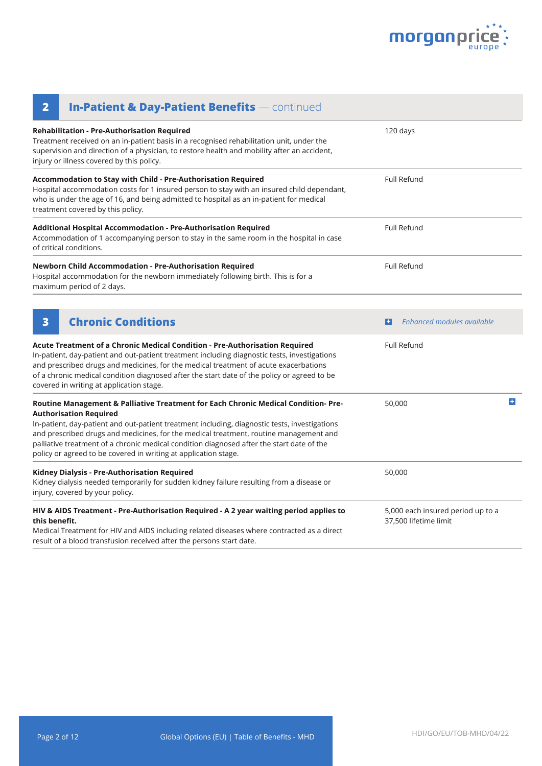

| <b>In-Patient &amp; Day-Patient Benefits - continued</b><br>$\overline{\mathbf{2}}$                                                                                                                                                                                                                                                                                                                                                                                          |                                                            |    |
|------------------------------------------------------------------------------------------------------------------------------------------------------------------------------------------------------------------------------------------------------------------------------------------------------------------------------------------------------------------------------------------------------------------------------------------------------------------------------|------------------------------------------------------------|----|
| <b>Rehabilitation - Pre-Authorisation Required</b><br>Treatment received on an in-patient basis in a recognised rehabilitation unit, under the<br>supervision and direction of a physician, to restore health and mobility after an accident,<br>injury or illness covered by this policy.                                                                                                                                                                                   | 120 days                                                   |    |
| Accommodation to Stay with Child - Pre-Authorisation Required<br>Hospital accommodation costs for 1 insured person to stay with an insured child dependant,<br>who is under the age of 16, and being admitted to hospital as an in-patient for medical<br>treatment covered by this policy.                                                                                                                                                                                  | Full Refund                                                |    |
| Additional Hospital Accommodation - Pre-Authorisation Required<br>Accommodation of 1 accompanying person to stay in the same room in the hospital in case<br>of critical conditions.                                                                                                                                                                                                                                                                                         | <b>Full Refund</b>                                         |    |
| Newborn Child Accommodation - Pre-Authorisation Required<br>Hospital accommodation for the newborn immediately following birth. This is for a<br>maximum period of 2 days.                                                                                                                                                                                                                                                                                                   | <b>Full Refund</b>                                         |    |
| <b>Chronic Conditions</b><br>3                                                                                                                                                                                                                                                                                                                                                                                                                                               | Enhanced modules available<br>$\left  \cdot \right $       |    |
| Acute Treatment of a Chronic Medical Condition - Pre-Authorisation Required<br>In-patient, day-patient and out-patient treatment including diagnostic tests, investigations<br>and prescribed drugs and medicines, for the medical treatment of acute exacerbations<br>of a chronic medical condition diagnosed after the start date of the policy or agreed to be<br>covered in writing at application stage.                                                               | <b>Full Refund</b>                                         |    |
| Routine Management & Palliative Treatment for Each Chronic Medical Condition-Pre-<br><b>Authorisation Required</b><br>In-patient, day-patient and out-patient treatment including, diagnostic tests, investigations<br>and prescribed drugs and medicines, for the medical treatment, routine management and<br>palliative treatment of a chronic medical condition diagnosed after the start date of the<br>policy or agreed to be covered in writing at application stage. | 50,000                                                     | ÷. |
| Kidney Dialysis - Pre-Authorisation Required<br>Kidney dialysis needed temporarily for sudden kidney failure resulting from a disease or<br>injury, covered by your policy.                                                                                                                                                                                                                                                                                                  | 50,000                                                     |    |
| HIV & AIDS Treatment - Pre-Authorisation Required - A 2 year waiting period applies to<br>this benefit.<br>Medical Treatment for HIV and AIDS including related diseases where contracted as a direct<br>result of a blood transfusion received after the persons start date.                                                                                                                                                                                                | 5,000 each insured period up to a<br>37,500 lifetime limit |    |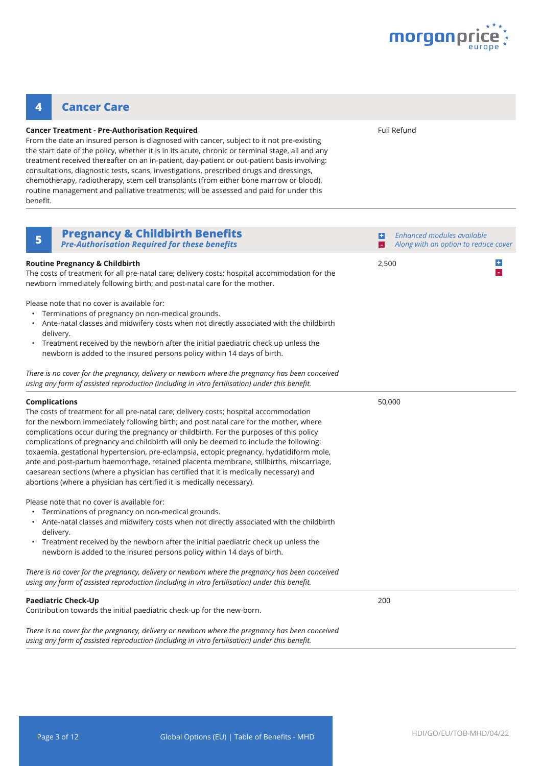

### **4 Cancer Care**

#### **Cancer Treatment - Pre-Authorisation Required**

From the date an insured person is diagnosed with cancer, subject to it not pre-existing the start date of the policy, whether it is in its acute, chronic or terminal stage, all and any treatment received thereafter on an in-patient, day-patient or out-patient basis involving: consultations, diagnostic tests, scans, investigations, prescribed drugs and dressings, chemotherapy, radiotherapy, stem cell transplants (from either bone marrow or blood), routine management and palliative treatments; will be assessed and paid for under this benefit.

Full Refund

| <b>Pregnancy &amp; Childbirth Benefits</b><br>5<br><b>Pre-Authorisation Required for these benefits</b>                                                                                                                                                                                                                                                                                                                                                                                                                                                                                                                                                                                                                                                   | $\left  \cdot \right $ | Enhanced modules available<br>Along with an option to reduce cover |
|-----------------------------------------------------------------------------------------------------------------------------------------------------------------------------------------------------------------------------------------------------------------------------------------------------------------------------------------------------------------------------------------------------------------------------------------------------------------------------------------------------------------------------------------------------------------------------------------------------------------------------------------------------------------------------------------------------------------------------------------------------------|------------------------|--------------------------------------------------------------------|
| <b>Routine Pregnancy &amp; Childbirth</b><br>The costs of treatment for all pre-natal care; delivery costs; hospital accommodation for the<br>newborn immediately following birth; and post-natal care for the mother.                                                                                                                                                                                                                                                                                                                                                                                                                                                                                                                                    | 2,500                  | $\div$<br>$\omega$                                                 |
| Please note that no cover is available for:<br>Terminations of pregnancy on non-medical grounds.<br>• Ante-natal classes and midwifery costs when not directly associated with the childbirth<br>delivery.<br>Treatment received by the newborn after the initial paediatric check up unless the<br>$\bullet$<br>newborn is added to the insured persons policy within 14 days of birth.                                                                                                                                                                                                                                                                                                                                                                  |                        |                                                                    |
| There is no cover for the pregnancy, delivery or newborn where the pregnancy has been conceived<br>using any form of assisted reproduction (including in vitro fertilisation) under this benefit.                                                                                                                                                                                                                                                                                                                                                                                                                                                                                                                                                         |                        |                                                                    |
| <b>Complications</b><br>The costs of treatment for all pre-natal care; delivery costs; hospital accommodation<br>for the newborn immediately following birth; and post natal care for the mother, where<br>complications occur during the pregnancy or childbirth. For the purposes of this policy<br>complications of pregnancy and childbirth will only be deemed to include the following:<br>toxaemia, gestational hypertension, pre-eclampsia, ectopic pregnancy, hydatidiform mole,<br>ante and post-partum haemorrhage, retained placenta membrane, stillbirths, miscarriage,<br>caesarean sections (where a physician has certified that it is medically necessary) and<br>abortions (where a physician has certified it is medically necessary). | 50,000                 |                                                                    |
| Please note that no cover is available for:<br>Terminations of pregnancy on non-medical grounds.<br>Ante-natal classes and midwifery costs when not directly associated with the childbirth<br>delivery.<br>• Treatment received by the newborn after the initial paediatric check up unless the<br>newborn is added to the insured persons policy within 14 days of birth.                                                                                                                                                                                                                                                                                                                                                                               |                        |                                                                    |
| There is no cover for the pregnancy, delivery or newborn where the pregnancy has been conceived<br>using any form of assisted reproduction (including in vitro fertilisation) under this benefit.                                                                                                                                                                                                                                                                                                                                                                                                                                                                                                                                                         |                        |                                                                    |
| <b>Paediatric Check-Up</b><br>Contribution towards the initial paediatric check-up for the new-born.                                                                                                                                                                                                                                                                                                                                                                                                                                                                                                                                                                                                                                                      | 200                    |                                                                    |
| There is no cover for the pregnancy, delivery or newborn where the pregnancy has been conceived<br>using any form of assisted reproduction (including in vitro fertilisation) under this benefit.                                                                                                                                                                                                                                                                                                                                                                                                                                                                                                                                                         |                        |                                                                    |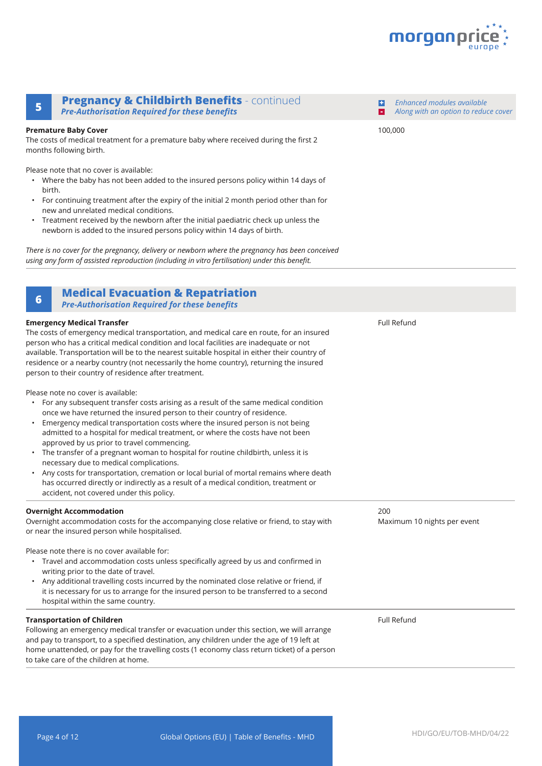

### **Pregnancy & Childbirth Benefits** - continued **<sup>5</sup> -** *Pre-Authorisation Required for these benefits*

#### **Premature Baby Cover**

The costs of medical treatment for a premature baby where received during the first 2 months following birth.

Please note that no cover is available:

- Where the baby has not been added to the insured persons policy within 14 days of birth.
- For continuing treatment after the expiry of the initial 2 month period other than for new and unrelated medical conditions.
- Treatment received by the newborn after the initial paediatric check up unless the newborn is added to the insured persons policy within 14 days of birth.

*There is no cover for the pregnancy, delivery or newborn where the pregnancy has been conceived using any form of assisted reproduction (including in vitro fertilisation) under this benefit.* 

### **Medical Evacuation & Repatriation <sup>6</sup>**

*Pre-Authorisation Required for these benefits*

#### **Emergency Medical Transfer** The costs of emergency medical transportation, and medical care en route, for an insured person who has a critical medical condition and local facilities are inadequate or not available. Transportation will be to the nearest suitable hospital in either their country of residence or a nearby country (not necessarily the home country), returning the insured person to their country of residence after treatment. Please note no cover is available: • For any subsequent transfer costs arising as a result of the same medical condition once we have returned the insured person to their country of residence. • Emergency medical transportation costs where the insured person is not being admitted to a hospital for medical treatment, or where the costs have not been approved by us prior to travel commencing. • The transfer of a pregnant woman to hospital for routine childbirth, unless it is necessary due to medical complications. • Any costs for transportation, cremation or local burial of mortal remains where death has occurred directly or indirectly as a result of a medical condition, treatment or accident, not covered under this policy. Full Refund **Overnight Accommodation** Overnight accommodation costs for the accompanying close relative or friend, to stay with or near the insured person while hospitalised. Please note there is no cover available for: • Travel and accommodation costs unless specifically agreed by us and confirmed in writing prior to the date of travel. • Any additional travelling costs incurred by the nominated close relative or friend, if it is necessary for us to arrange for the insured person to be transferred to a second hospital within the same country. 200 Maximum 10 nights per event **Transportation of Children** Following an emergency medical transfer or evacuation under this section, we will arrange and pay to transport, to a specified destination, any children under the age of 19 left at home unattended, or pay for the travelling costs (1 economy class return ticket) of a person to take care of the children at home. Full Refund

100,000

**+**

*Enhanced modules available Along with an option to reduce cover*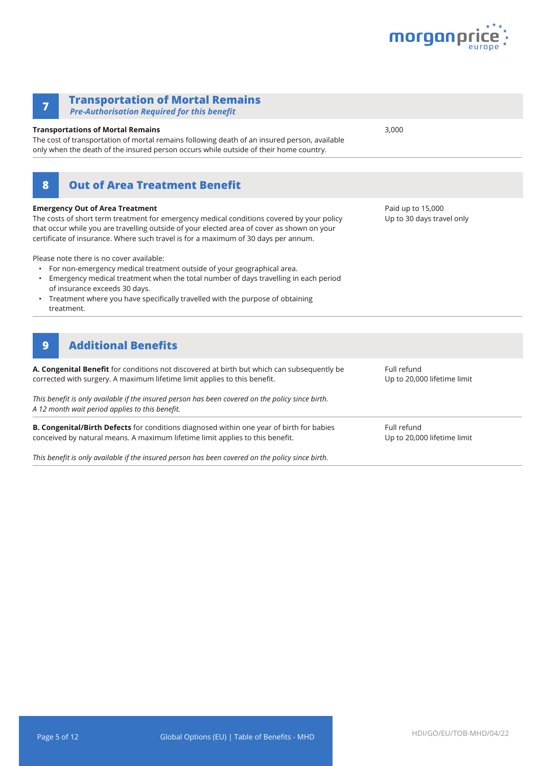

| <b>Transportation of Mortal Remains</b><br>7<br><b>Pre-Authorisation Required for this benefit</b>                                                                                                                                                                                                                                                                                                                                                                                                                                                                                                                                                                   |                                                |
|----------------------------------------------------------------------------------------------------------------------------------------------------------------------------------------------------------------------------------------------------------------------------------------------------------------------------------------------------------------------------------------------------------------------------------------------------------------------------------------------------------------------------------------------------------------------------------------------------------------------------------------------------------------------|------------------------------------------------|
| <b>Transportations of Mortal Remains</b><br>The cost of transportation of mortal remains following death of an insured person, available<br>only when the death of the insured person occurs while outside of their home country.                                                                                                                                                                                                                                                                                                                                                                                                                                    | 3,000                                          |
| <b>Out of Area Treatment Benefit</b><br>8                                                                                                                                                                                                                                                                                                                                                                                                                                                                                                                                                                                                                            |                                                |
| <b>Emergency Out of Area Treatment</b><br>The costs of short term treatment for emergency medical conditions covered by your policy<br>that occur while you are travelling outside of your elected area of cover as shown on your<br>certificate of insurance. Where such travel is for a maximum of 30 days per annum.<br>Please note there is no cover available:<br>For non-emergency medical treatment outside of your geographical area.<br>Emergency medical treatment when the total number of days travelling in each period<br>of insurance exceeds 30 days.<br>Treatment where you have specifically travelled with the purpose of obtaining<br>treatment. | Paid up to 15,000<br>Up to 30 days travel only |
| <b>Additional Benefits</b><br>9                                                                                                                                                                                                                                                                                                                                                                                                                                                                                                                                                                                                                                      |                                                |
| A. Congenital Benefit for conditions not discovered at birth but which can subsequently be<br>corrected with surgery. A maximum lifetime limit applies to this benefit.                                                                                                                                                                                                                                                                                                                                                                                                                                                                                              | Full refund<br>Up to 20,000 lifetime limit     |
| This benefit is only available if the insured person has been covered on the policy since birth.<br>A 12 month wait period applies to this benefit.                                                                                                                                                                                                                                                                                                                                                                                                                                                                                                                  |                                                |
| B. Congenital/Birth Defects for conditions diagnosed within one year of birth for babies<br>conceived by natural means. A maximum lifetime limit applies to this benefit.                                                                                                                                                                                                                                                                                                                                                                                                                                                                                            | Full refund<br>Up to 20,000 lifetime limit     |

*This benefit is only available if the insured person has been covered on the policy since birth.*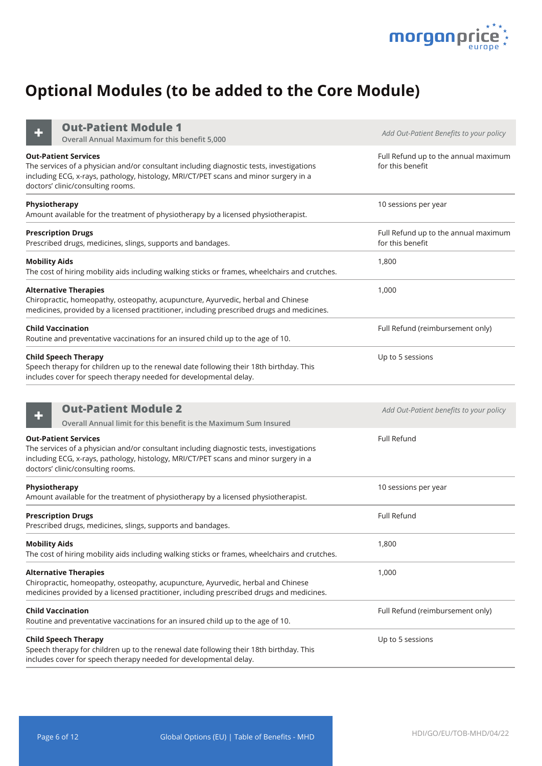

# **Optional Modules (to be added to the Core Module)**

**Out-Patient Module 1**

| <b>Out-Patient Module 1</b><br>Overall Annual Maximum for this benefit 5,000                                                                                                                                                                         | Add Out-Patient Benefits to your policy                  |
|------------------------------------------------------------------------------------------------------------------------------------------------------------------------------------------------------------------------------------------------------|----------------------------------------------------------|
| <b>Out-Patient Services</b><br>The services of a physician and/or consultant including diagnostic tests, investigations<br>including ECG, x-rays, pathology, histology, MRI/CT/PET scans and minor surgery in a<br>doctors' clinic/consulting rooms. | Full Refund up to the annual maximum<br>for this benefit |
| Physiotherapy<br>Amount available for the treatment of physiotherapy by a licensed physiotherapist.                                                                                                                                                  | 10 sessions per year                                     |
| <b>Prescription Drugs</b><br>Prescribed drugs, medicines, slings, supports and bandages.                                                                                                                                                             | Full Refund up to the annual maximum<br>for this benefit |
| <b>Mobility Aids</b><br>The cost of hiring mobility aids including walking sticks or frames, wheelchairs and crutches.                                                                                                                               | 1,800                                                    |
| <b>Alternative Therapies</b><br>Chiropractic, homeopathy, osteopathy, acupuncture, Ayurvedic, herbal and Chinese<br>medicines, provided by a licensed practitioner, including prescribed drugs and medicines.                                        | 1,000                                                    |
| <b>Child Vaccination</b><br>Routine and preventative vaccinations for an insured child up to the age of 10.                                                                                                                                          | Full Refund (reimbursement only)                         |
| <b>Child Speech Therapy</b><br>Speech therapy for children up to the renewal date following their 18th birthday. This<br>includes cover for speech therapy needed for developmental delay.                                                           | Up to 5 sessions                                         |
| <b>Out-Patient Module 2</b><br>Overall Annual limit for this benefit is the Maximum Sum Insured                                                                                                                                                      | Add Out-Patient benefits to your policy                  |
| <b>Out-Patient Services</b><br>The services of a physician and/or consultant including diagnostic tests, investigations<br>including ECG, x-rays, pathology, histology, MRI/CT/PET scans and minor surgery in a<br>doctors' clinic/consulting rooms. | Full Refund                                              |
| Physiotherapy<br>Amount available for the treatment of physiotherapy by a licensed physiotherapist.                                                                                                                                                  | 10 sessions per year                                     |
| <b>Prescription Drugs</b><br>Prescribed drugs, medicines, slings, supports and bandages.                                                                                                                                                             | Full Refund                                              |
| <b>Mobility Aids</b><br>The cost of hiring mobility aids including walking sticks or frames, wheelchairs and crutches.                                                                                                                               | 1,800                                                    |
| <b>Alternative Therapies</b><br>Chiropractic, homeopathy, osteopathy, acupuncture, Ayurvedic, herbal and Chinese<br>medicines provided by a licensed practitioner, including prescribed drugs and medicines.                                         | 1,000                                                    |
| <b>Child Vaccination</b><br>Routine and preventative vaccinations for an insured child up to the age of 10.                                                                                                                                          | Full Refund (reimbursement only)                         |
| <b>Child Speech Therapy</b><br>Speech therapy for children up to the renewal date following their 18th birthday. This<br>includes cover for speech therapy needed for developmental delay.                                                           | Up to 5 sessions                                         |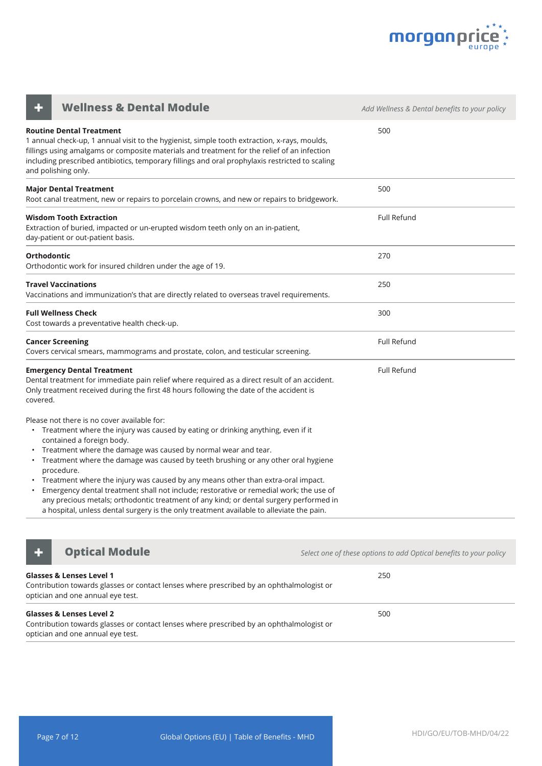

| <b>Wellness &amp; Dental Module</b>                                                                                                                                                                                                                                                                                                                                                                                                                                                                                                                                                                                                                                                                         | Add Wellness & Dental benefits to your policy |
|-------------------------------------------------------------------------------------------------------------------------------------------------------------------------------------------------------------------------------------------------------------------------------------------------------------------------------------------------------------------------------------------------------------------------------------------------------------------------------------------------------------------------------------------------------------------------------------------------------------------------------------------------------------------------------------------------------------|-----------------------------------------------|
| <b>Routine Dental Treatment</b><br>1 annual check-up, 1 annual visit to the hygienist, simple tooth extraction, x-rays, moulds,<br>fillings using amalgams or composite materials and treatment for the relief of an infection<br>including prescribed antibiotics, temporary fillings and oral prophylaxis restricted to scaling<br>and polishing only.                                                                                                                                                                                                                                                                                                                                                    | 500                                           |
| <b>Major Dental Treatment</b><br>Root canal treatment, new or repairs to porcelain crowns, and new or repairs to bridgework.                                                                                                                                                                                                                                                                                                                                                                                                                                                                                                                                                                                | 500                                           |
| Wisdom Tooth Extraction<br>Extraction of buried, impacted or un-erupted wisdom teeth only on an in-patient,<br>day-patient or out-patient basis.                                                                                                                                                                                                                                                                                                                                                                                                                                                                                                                                                            | Full Refund                                   |
| <b>Orthodontic</b><br>Orthodontic work for insured children under the age of 19.                                                                                                                                                                                                                                                                                                                                                                                                                                                                                                                                                                                                                            | 270                                           |
| Travel Vaccinations<br>Vaccinations and immunization's that are directly related to overseas travel requirements.                                                                                                                                                                                                                                                                                                                                                                                                                                                                                                                                                                                           | 250                                           |
| <b>Full Wellness Check</b><br>Cost towards a preventative health check-up.                                                                                                                                                                                                                                                                                                                                                                                                                                                                                                                                                                                                                                  | 300                                           |
| <b>Cancer Screening</b><br>Covers cervical smears, mammograms and prostate, colon, and testicular screening.                                                                                                                                                                                                                                                                                                                                                                                                                                                                                                                                                                                                | Full Refund                                   |
| <b>Emergency Dental Treatment</b><br>Dental treatment for immediate pain relief where required as a direct result of an accident.<br>Only treatment received during the first 48 hours following the date of the accident is<br>covered.                                                                                                                                                                                                                                                                                                                                                                                                                                                                    | Full Refund                                   |
| Please not there is no cover available for:<br>• Treatment where the injury was caused by eating or drinking anything, even if it<br>contained a foreign body.<br>• Treatment where the damage was caused by normal wear and tear.<br>• Treatment where the damage was caused by teeth brushing or any other oral hygiene<br>procedure.<br>Treatment where the injury was caused by any means other than extra-oral impact.<br>Emergency dental treatment shall not include; restorative or remedial work; the use of<br>any precious metals; orthodontic treatment of any kind; or dental surgery performed in<br>a hospital, unless dental surgery is the only treatment available to alleviate the pain. |                                               |



**+ Optical Module** *Constitution of these options to add Optical benefits to your policy* 

| <b>Glasses &amp; Lenses Level 1</b><br>Contribution towards glasses or contact lenses where prescribed by an ophthalmologist or<br>optician and one annual eye test. | 250 |
|----------------------------------------------------------------------------------------------------------------------------------------------------------------------|-----|
| <b>Glasses &amp; Lenses Level 2</b><br>Contribution towards glasses or contact lenses where prescribed by an ophthalmologist or<br>optician and one annual eye test. | 500 |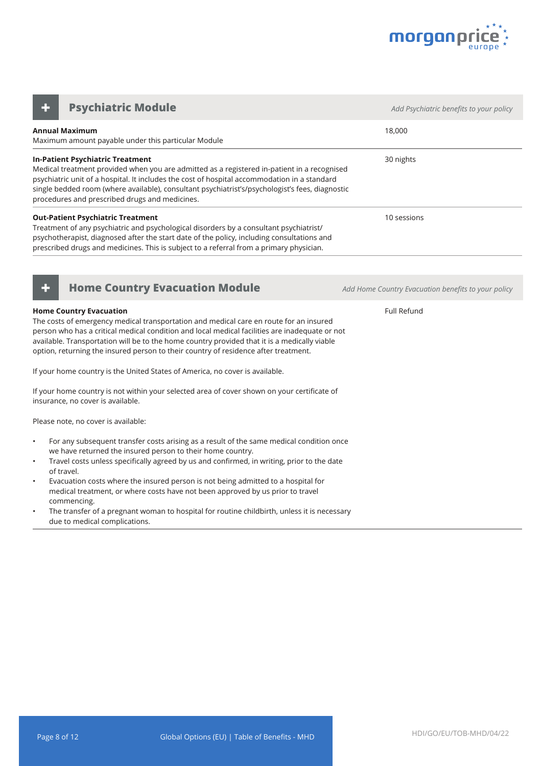

**Annual Maximum** Maximum amount payable under this particular Module 18,000 **In-Patient Psychiatric Treatment** Medical treatment provided when you are admitted as a registered in-patient in a recognised psychiatric unit of a hospital. It includes the cost of hospital accommodation in a standard single bedded room (where available), consultant psychiatrist's/psychologist's fees, diagnostic procedures and prescribed drugs and medicines. 30 nights **Out-Patient Psychiatric Treatment** Treatment of any psychiatric and psychological disorders by a consultant psychiatrist/ psychotherapist, diagnosed after the start date of the policy, including consultations and prescribed drugs and medicines. This is subject to a referral from a primary physician. 10 sessions **Psychiatric Module** *CONDUCTER <b>Adders Add Psychiatric benefits to your policy Adderson in the Add Psychiatric benefits to your policy* 



#### **Home Country Evacuation**

The costs of emergency medical transportation and medical care en route for an insured person who has a critical medical condition and local medical facilities are inadequate or not available. Transportation will be to the home country provided that it is a medically viable option, returning the insured person to their country of residence after treatment.

If your home country is the United States of America, no cover is available.

If your home country is not within your selected area of cover shown on your certificate of insurance, no cover is available.

Please note, no cover is available:

- For any subsequent transfer costs arising as a result of the same medical condition once we have returned the insured person to their home country.
- Travel costs unless specifically agreed by us and confirmed, in writing, prior to the date of travel.
- Evacuation costs where the insured person is not being admitted to a hospital for medical treatment, or where costs have not been approved by us prior to travel commencing.
- The transfer of a pregnant woman to hospital for routine childbirth, unless it is necessary due to medical complications.

**+ Home Country Evacuation Module** *Add Home Country Evacuation benefits to your policy*

Full Refund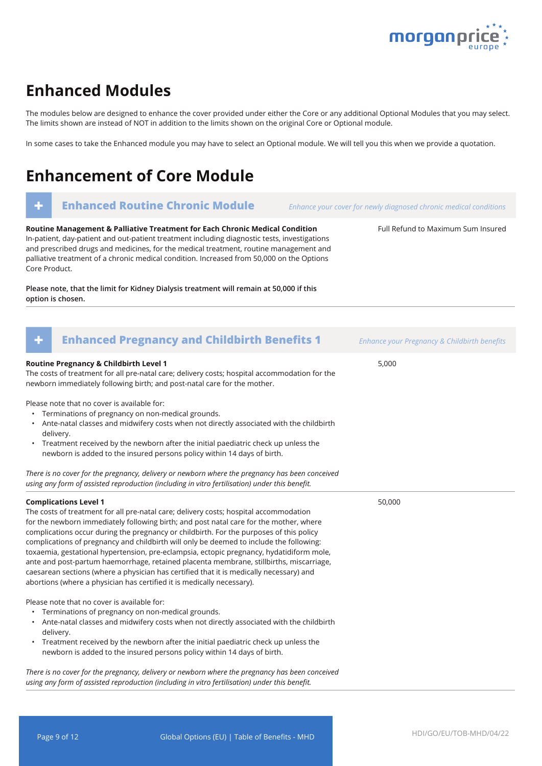

Full Refund to Maximum Sum Insured

### **Enhanced Modules**

The modules below are designed to enhance the cover provided under either the Core or any additional Optional Modules that you may select. The limits shown are instead of NOT in addition to the limits shown on the original Core or Optional module.

In some cases to take the Enhanced module you may have to select an Optional module. We will tell you this when we provide a quotation.

# **Enhancement of Core Module**

### **+ Enhanced Routine Chronic Module** *Enhance your cover for newly diagnosed chronic medical conditions*

**Routine Management & Palliative Treatment for Each Chronic Medical Condition** In-patient, day-patient and out-patient treatment including diagnostic tests, investigations and prescribed drugs and medicines, for the medical treatment, routine management and palliative treatment of a chronic medical condition. Increased from 50,000 on the Options Core Product.

**Please note, that the limit for Kidney Dialysis treatment will remain at 50,000 if this option is chosen.**

| <b>Enhanced Pregnancy and Childbirth Benefits 1</b><br>÷                                                                                                                                                                                                                                                                                                                                                                                                                                                                                                                                                                                                                                                                                                          | Enhance your Pregnancy & Childbirth benefits |
|-------------------------------------------------------------------------------------------------------------------------------------------------------------------------------------------------------------------------------------------------------------------------------------------------------------------------------------------------------------------------------------------------------------------------------------------------------------------------------------------------------------------------------------------------------------------------------------------------------------------------------------------------------------------------------------------------------------------------------------------------------------------|----------------------------------------------|
| Routine Pregnancy & Childbirth Level 1<br>The costs of treatment for all pre-natal care; delivery costs; hospital accommodation for the<br>newborn immediately following birth; and post-natal care for the mother.                                                                                                                                                                                                                                                                                                                                                                                                                                                                                                                                               | 5,000                                        |
| Please note that no cover is available for:<br>• Terminations of pregnancy on non-medical grounds.<br>• Ante-natal classes and midwifery costs when not directly associated with the childbirth<br>delivery.<br>• Treatment received by the newborn after the initial paediatric check up unless the<br>newborn is added to the insured persons policy within 14 days of birth.                                                                                                                                                                                                                                                                                                                                                                                   |                                              |
| There is no cover for the pregnancy, delivery or newborn where the pregnancy has been conceived<br>using any form of assisted reproduction (including in vitro fertilisation) under this benefit.                                                                                                                                                                                                                                                                                                                                                                                                                                                                                                                                                                 |                                              |
| <b>Complications Level 1</b><br>The costs of treatment for all pre-natal care; delivery costs; hospital accommodation<br>for the newborn immediately following birth; and post natal care for the mother, where<br>complications occur during the pregnancy or childbirth. For the purposes of this policy<br>complications of pregnancy and childbirth will only be deemed to include the following:<br>toxaemia, gestational hypertension, pre-eclampsia, ectopic pregnancy, hydatidiform mole,<br>ante and post-partum haemorrhage, retained placenta membrane, stillbirths, miscarriage,<br>caesarean sections (where a physician has certified that it is medically necessary) and<br>abortions (where a physician has certified it is medically necessary). | 50,000                                       |
| Please note that no cover is available for:<br>Terminations of pregnancy on non-medical grounds.<br>$\bullet$<br>• Ante-natal classes and midwifery costs when not directly associated with the childbirth<br>delivery.<br>• Treatment received by the newborn after the initial paediatric check up unless the<br>newborn is added to the insured persons policy within 14 days of birth.<br>There is no cover for the pregnancy delivery or newhorn where the pregnancy has heen conceived                                                                                                                                                                                                                                                                      |                                              |

*There is no cover for the pregnancy, delivery or newborn where the pregnancy has been conceived using any form of assisted reproduction (including in vitro fertilisation) under this benefit.*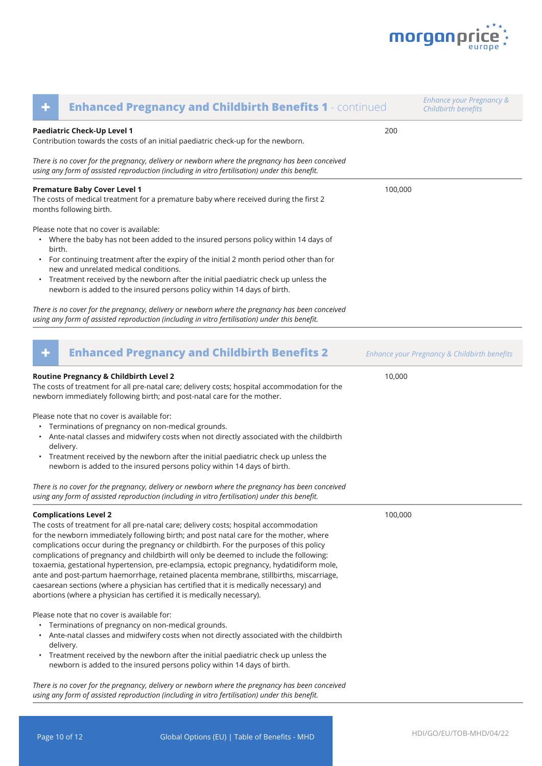

| ٠                   | <b>Enhanced Pregnancy and Childbirth Benefits 1 - continued</b>                                                                                                                                                                                                                                                                                                                                                                                                                                                                                                                                                                                                                                                                                                   |         | <b>Enhance your Pregnancy &amp;</b><br>Childbirth benefits |
|---------------------|-------------------------------------------------------------------------------------------------------------------------------------------------------------------------------------------------------------------------------------------------------------------------------------------------------------------------------------------------------------------------------------------------------------------------------------------------------------------------------------------------------------------------------------------------------------------------------------------------------------------------------------------------------------------------------------------------------------------------------------------------------------------|---------|------------------------------------------------------------|
|                     | Paediatric Check-Up Level 1<br>Contribution towards the costs of an initial paediatric check-up for the newborn.                                                                                                                                                                                                                                                                                                                                                                                                                                                                                                                                                                                                                                                  | 200     |                                                            |
|                     | There is no cover for the pregnancy, delivery or newborn where the pregnancy has been conceived<br>using any form of assisted reproduction (including in vitro fertilisation) under this benefit.                                                                                                                                                                                                                                                                                                                                                                                                                                                                                                                                                                 |         |                                                            |
|                     | <b>Premature Baby Cover Level 1</b><br>The costs of medical treatment for a premature baby where received during the first 2<br>months following birth.                                                                                                                                                                                                                                                                                                                                                                                                                                                                                                                                                                                                           | 100,000 |                                                            |
| birth.<br>$\bullet$ | Please note that no cover is available:<br>• Where the baby has not been added to the insured persons policy within 14 days of<br>For continuing treatment after the expiry of the initial 2 month period other than for<br>new and unrelated medical conditions.<br>Treatment received by the newborn after the initial paediatric check up unless the<br>newborn is added to the insured persons policy within 14 days of birth.                                                                                                                                                                                                                                                                                                                                |         |                                                            |
|                     | There is no cover for the pregnancy, delivery or newborn where the pregnancy has been conceived<br>using any form of assisted reproduction (including in vitro fertilisation) under this benefit.                                                                                                                                                                                                                                                                                                                                                                                                                                                                                                                                                                 |         |                                                            |
| ٠                   | <b>Enhanced Pregnancy and Childbirth Benefits 2</b>                                                                                                                                                                                                                                                                                                                                                                                                                                                                                                                                                                                                                                                                                                               |         | Enhance your Pregnancy & Childbirth benefits               |
| ٠                   | Routine Pregnancy & Childbirth Level 2<br>The costs of treatment for all pre-natal care; delivery costs; hospital accommodation for the<br>newborn immediately following birth; and post-natal care for the mother.<br>Please note that no cover is available for:<br>Terminations of pregnancy on non-medical grounds.<br>Ante-natal classes and midwifery costs when not directly associated with the childbirth<br>delivery.<br>Treatment received by the newborn after the initial paediatric check up unless the                                                                                                                                                                                                                                             | 10,000  |                                                            |
|                     | newborn is added to the insured persons policy within 14 days of birth.<br>There is no cover for the pregnancy, delivery or newborn where the pregnancy has been conceived<br>using any form of assisted reproduction (including in vitro fertilisation) under this benefit.                                                                                                                                                                                                                                                                                                                                                                                                                                                                                      |         |                                                            |
|                     | <b>Complications Level 2</b><br>The costs of treatment for all pre-natal care; delivery costs; hospital accommodation<br>for the newborn immediately following birth; and post natal care for the mother, where<br>complications occur during the pregnancy or childbirth. For the purposes of this policy<br>complications of pregnancy and childbirth will only be deemed to include the following:<br>toxaemia, gestational hypertension, pre-eclampsia, ectopic pregnancy, hydatidiform mole,<br>ante and post-partum haemorrhage, retained placenta membrane, stillbirths, miscarriage,<br>caesarean sections (where a physician has certified that it is medically necessary) and<br>abortions (where a physician has certified it is medically necessary). | 100,000 |                                                            |
|                     | Please note that no cover is available for:<br>Terminations of pregnancy on non-medical grounds.<br>Ante-natal classes and midwifery costs when not directly associated with the childbirth<br>delivery.<br>• Treatment received by the newborn after the initial paediatric check up unless the<br>newborn is added to the insured persons policy within 14 days of birth.<br>There is no cover for the pregnancy, delivery or newborn where the pregnancy has been conceived                                                                                                                                                                                                                                                                                    |         |                                                            |
|                     | using any form of assisted reproduction (including in vitro fertilisation) under this benefit.                                                                                                                                                                                                                                                                                                                                                                                                                                                                                                                                                                                                                                                                    |         |                                                            |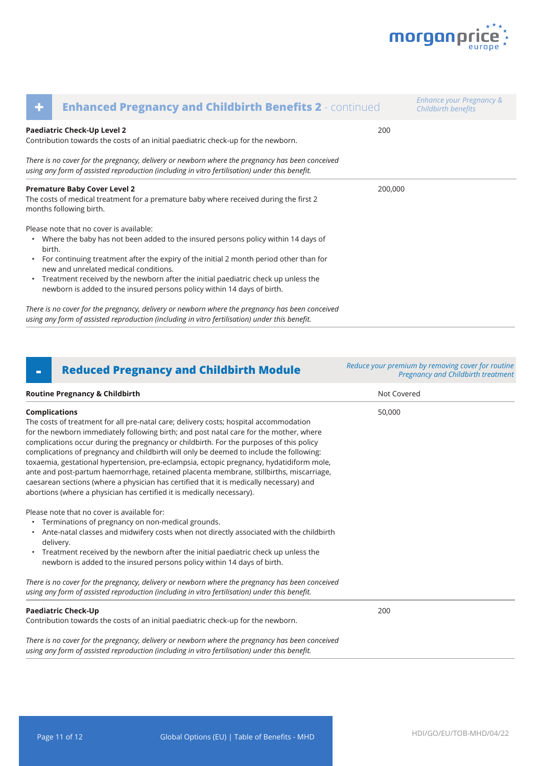

| ٠      | <b>Enhanced Pregnancy and Childbirth Benefits 2 - continued</b>                                                                                                                                                            |         | Enhance your Pregnancy &<br>Childbirth benefits |
|--------|----------------------------------------------------------------------------------------------------------------------------------------------------------------------------------------------------------------------------|---------|-------------------------------------------------|
|        | Paediatric Check-Up Level 2<br>Contribution towards the costs of an initial paediatric check-up for the newborn.                                                                                                           | 200     |                                                 |
|        | There is no cover for the pregnancy, delivery or newborn where the pregnancy has been conceived<br>using any form of assisted reproduction (including in vitro fertilisation) under this benefit.                          |         |                                                 |
|        | <b>Premature Baby Cover Level 2</b><br>The costs of medical treatment for a premature baby where received during the first 2<br>months following birth.                                                                    | 200,000 |                                                 |
| birth. | Please note that no cover is available:<br>• Where the baby has not been added to the insured persons policy within 14 days of<br>• For continuing treatment after the expiry of the initial 2 month period other than for |         |                                                 |
|        | new and unrelated medical conditions.<br>• Treatment received by the newborn after the initial paediatric check up unless the<br>newborn is added to the insured persons policy within 14 days of birth.                   |         |                                                 |
|        | There is no cover for the pregnancy, delivery or newborn where the pregnancy has been conceived                                                                                                                            |         |                                                 |

*using any form of assisted reproduction (including in vitro fertilisation) under this benefit.* 

### **- Reduced Pregnancy and Childbirth Module** *Reduce your premium by removing cover for routine*

**Routine Pregnancy & Childbirth Not Covered Not Covered Not Covered Not Covered** The costs of treatment for all pre-natal care; delivery costs; hospital accommodation for the newborn immediately following birth; and post natal care for the mother, where complications occur during the pregnancy or childbirth. For the purposes of this policy complications of pregnancy and childbirth will only be deemed to include the following: toxaemia, gestational hypertension, pre-eclampsia, ectopic pregnancy, hydatidiform mole, ante and post-partum haemorrhage, retained placenta membrane, stillbirths, miscarriage, caesarean sections (where a physician has certified that it is medically necessary) and abortions (where a physician has certified it is medically necessary). Please note that no cover is available for: • Terminations of pregnancy on non-medical grounds. • Ante-natal classes and midwifery costs when not directly associated with the childbirth • Treatment received by the newborn after the initial paediatric check up unless the newborn is added to the insured persons policy within 14 days of birth. 50,000

*There is no cover for the pregnancy, delivery or newborn where the pregnancy has been conceived using any form of assisted reproduction (including in vitro fertilisation) under this benefit.* 

#### **Paediatric Check-Up**

delivery.

**Complications**

Contribution towards the costs of an initial paediatric check-up for the newborn.

*There is no cover for the pregnancy, delivery or newborn where the pregnancy has been conceived using any form of assisted reproduction (including in vitro fertilisation) under this benefit.* 

200

*Pregnancy and Childbirth treatment*